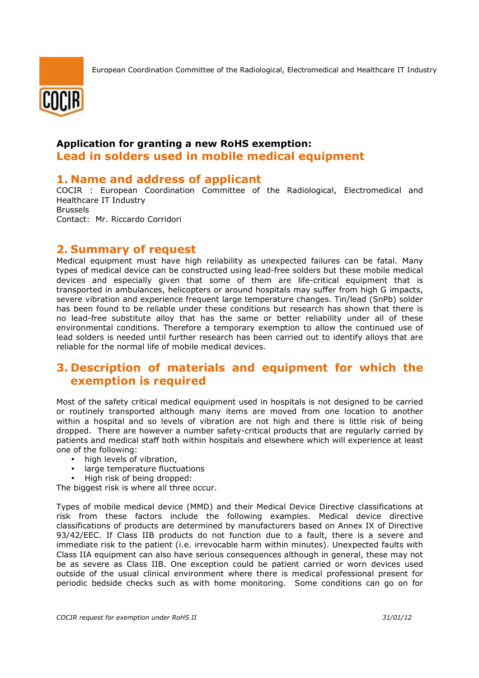

## **Application for granting a new RoHS exemption: Lead in solders used in mobile medical equipment**

## **1. Name and address of applicant**

COCIR : European Coordination Committee of the Radiological, Electromedical and Healthcare IT Industry Brussels Contact: Mr. Riccardo Corridori

## **2. Summary of request**

Medical equipment must have high reliability as unexpected failures can be fatal. Many types of medical device can be constructed using lead-free solders but these mobile medical devices and especially given that some of them are life-critical equipment that is transported in ambulances, helicopters or around hospitals may suffer from high G impacts, severe vibration and experience frequent large temperature changes. Tin/lead (SnPb) solder has been found to be reliable under these conditions but research has shown that there is no lead-free substitute alloy that has the same or better reliability under all of these environmental conditions. Therefore a temporary exemption to allow the continued use of lead solders is needed until further research has been carried out to identify alloys that are reliable for the normal life of mobile medical devices.

## **3. Description of materials and equipment for which the exemption is required**

Most of the safety critical medical equipment used in hospitals is not designed to be carried or routinely transported although many items are moved from one location to another within a hospital and so levels of vibration are not high and there is little risk of being dropped. There are however a number safety-critical products that are regularly carried by patients and medical staff both within hospitals and elsewhere which will experience at least one of the following:

- high levels of vibration,
- large temperature fluctuations
- High risk of being dropped:

The biggest risk is where all three occur.

Types of mobile medical device (MMD) and their Medical Device Directive classifications at risk from these factors include the following examples. Medical device directive classifications of products are determined by manufacturers based on Annex IX of Directive 93/42/EEC. If Class IIB products do not function due to a fault, there is a severe and immediate risk to the patient (i.e. irrevocable harm within minutes). Unexpected faults with Class IIA equipment can also have serious consequences although in general, these may not be as severe as Class IIB. One exception could be patient carried or worn devices used outside of the usual clinical environment where there is medical professional present for periodic bedside checks such as with home monitoring. Some conditions can go on for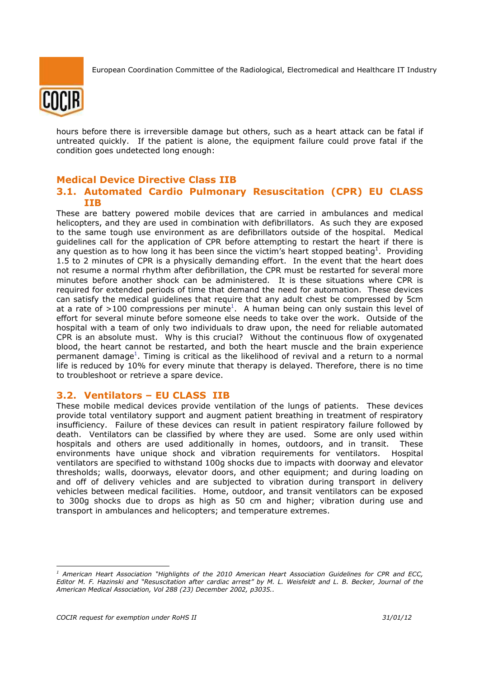

hours before there is irreversible damage but others, such as a heart attack can be fatal if untreated quickly. If the patient is alone, the equipment failure could prove fatal if the condition goes undetected long enough:

## **Medical Device Directive Class IIB 3.1. Automated Cardio Pulmonary Resuscitation (CPR) EU CLASS IIB**

These are battery powered mobile devices that are carried in ambulances and medical helicopters, and they are used in combination with defibrillators. As such they are exposed to the same tough use environment as are defibrillators outside of the hospital. Medical guidelines call for the application of CPR before attempting to restart the heart if there is any question as to how long it has been since the victim's heart stopped beating<sup>1</sup>. Providing 1.5 to 2 minutes of CPR is a physically demanding effort. In the event that the heart does not resume a normal rhythm after defibrillation, the CPR must be restarted for several more minutes before another shock can be administered. It is these situations where CPR is required for extended periods of time that demand the need for automation. These devices can satisfy the medical guidelines that require that any adult chest be compressed by 5cm at a rate of >100 compressions per minute<sup>1</sup>. A human being can only sustain this level of effort for several minute before someone else needs to take over the work. Outside of the hospital with a team of only two individuals to draw upon, the need for reliable automated CPR is an absolute must. Why is this crucial? Without the continuous flow of oxygenated blood, the heart cannot be restarted, and both the heart muscle and the brain experience permanent damage<sup>1</sup>. Timing is critical as the likelihood of revival and a return to a normal life is reduced by 10% for every minute that therapy is delayed. Therefore, there is no time to troubleshoot or retrieve a spare device.

#### **3.2. Ventilators – EU CLASS IIB**

These mobile medical devices provide ventilation of the lungs of patients. These devices provide total ventilatory support and augment patient breathing in treatment of respiratory insufficiency. Failure of these devices can result in patient respiratory failure followed by death. Ventilators can be classified by where they are used. Some are only used within hospitals and others are used additionally in homes, outdoors, and in transit. These environments have unique shock and vibration requirements for ventilators. Hospital ventilators are specified to withstand 100g shocks due to impacts with doorway and elevator thresholds; walls, doorways, elevator doors, and other equipment; and during loading on and off of delivery vehicles and are subjected to vibration during transport in delivery vehicles between medical facilities. Home, outdoor, and transit ventilators can be exposed to 300g shocks due to drops as high as 50 cm and higher; vibration during use and transport in ambulances and helicopters; and temperature extremes.

*<sup>1</sup> American Heart Association "Highlights of the 2010 American Heart Association Guidelines for CPR and ECC, Editor M. F. Hazinski and "Resuscitation after cardiac arrest" by M. L. Weisfeldt and L. B. Becker, Journal of the American Medical Association, Vol 288 (23) December 2002, p3035..*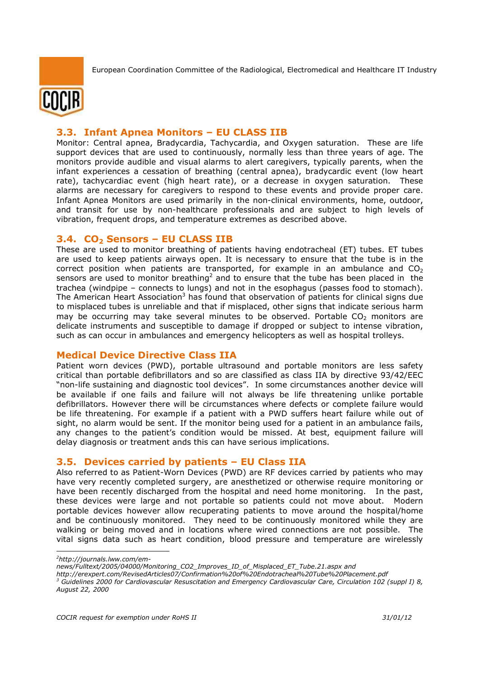

## **3.3. Infant Apnea Monitors – EU CLASS IIB**

Monitor: Central apnea, Bradycardia, Tachycardia, and Oxygen saturation. These are life support devices that are used to continuously, normally less than three years of age. The monitors provide audible and visual alarms to alert caregivers, typically parents, when the infant experiences a cessation of breathing (central apnea), bradycardic event (low heart rate), tachycardiac event (high heart rate), or a decrease in oxygen saturation. These alarms are necessary for caregivers to respond to these events and provide proper care. Infant Apnea Monitors are used primarily in the non-clinical environments, home, outdoor, and transit for use by non-healthcare professionals and are subject to high levels of vibration, frequent drops, and temperature extremes as described above.

#### **3.4. CO2 Sensors – EU CLASS IIB**

These are used to monitor breathing of patients having endotracheal (ET) tubes. ET tubes are used to keep patients airways open. It is necessary to ensure that the tube is in the correct position when patients are transported, for example in an ambulance and  $CO<sub>2</sub>$ sensors are used to monitor breathing<sup>2</sup> and to ensure that the tube has been placed in the trachea (windpipe – connects to lungs) and not in the esophagus (passes food to stomach). The American Heart Association<sup>3</sup> has found that observation of patients for clinical signs due to misplaced tubes is unreliable and that if misplaced, other signs that indicate serious harm may be occurring may take several minutes to be observed. Portable  $CO<sub>2</sub>$  monitors are delicate instruments and susceptible to damage if dropped or subject to intense vibration, such as can occur in ambulances and emergency helicopters as well as hospital trolleys.

#### **Medical Device Directive Class IIA**

Patient worn devices (PWD), portable ultrasound and portable monitors are less safety critical than portable defibrillators and so are classified as class IIA by directive 93/42/EEC "non-life sustaining and diagnostic tool devices". In some circumstances another device will be available if one fails and failure will not always be life threatening unlike portable defibrillators. However there will be circumstances where defects or complete failure would be life threatening. For example if a patient with a PWD suffers heart failure while out of sight, no alarm would be sent. If the monitor being used for a patient in an ambulance fails, any changes to the patient's condition would be missed. At best, equipment failure will delay diagnosis or treatment ands this can have serious implications.

#### **3.5. Devices carried by patients – EU Class IIA**

Also referred to as Patient-Worn Devices (PWD) are RF devices carried by patients who may have very recently completed surgery, are anesthetized or otherwise require monitoring or have been recently discharged from the hospital and need home monitoring. In the past, these devices were large and not portable so patients could not move about. Modern portable devices however allow recuperating patients to move around the hospital/home and be continuously monitored. They need to be continuously monitored while they are walking or being moved and in locations where wired connections are not possible. The vital signs data such as heart condition, blood pressure and temperature are wirelessly

*<sup>2</sup>http://journals.lww.com/em-*

*news/Fulltext/2005/04000/Monitoring\_CO2\_Improves\_ID\_of\_Misplaced\_ET\_Tube.21.aspx and* 

*http://erexpert.com/RevisedArticles07/Confirmation%20of%20Endotracheal%20Tube%20Placement.pdf* 

*<sup>3</sup> Guidelines 2000 for Cardiovascular Resuscitation and Emergency Cardiovascular Care, Circulation 102 (suppl I) 8, August 22, 2000*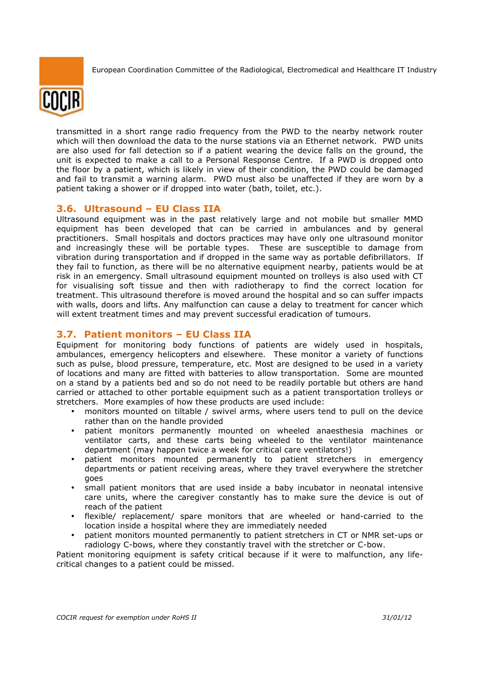

transmitted in a short range radio frequency from the PWD to the nearby network router which will then download the data to the nurse stations via an Ethernet network. PWD units are also used for fall detection so if a patient wearing the device falls on the ground, the unit is expected to make a call to a Personal Response Centre. If a PWD is dropped onto the floor by a patient, which is likely in view of their condition, the PWD could be damaged and fail to transmit a warning alarm. PWD must also be unaffected if they are worn by a patient taking a shower or if dropped into water (bath, toilet, etc.).

#### **3.6. Ultrasound – EU Class IIA**

Ultrasound equipment was in the past relatively large and not mobile but smaller MMD equipment has been developed that can be carried in ambulances and by general practitioners. Small hospitals and doctors practices may have only one ultrasound monitor and increasingly these will be portable types. These are susceptible to damage from vibration during transportation and if dropped in the same way as portable defibrillators. If they fail to function, as there will be no alternative equipment nearby, patients would be at risk in an emergency. Small ultrasound equipment mounted on trolleys is also used with CT for visualising soft tissue and then with radiotherapy to find the correct location for treatment. This ultrasound therefore is moved around the hospital and so can suffer impacts with walls, doors and lifts. Any malfunction can cause a delay to treatment for cancer which will extent treatment times and may prevent successful eradication of tumours.

#### **3.7. Patient monitors – EU Class IIA**

Equipment for monitoring body functions of patients are widely used in hospitals, ambulances, emergency helicopters and elsewhere. These monitor a variety of functions such as pulse, blood pressure, temperature, etc. Most are designed to be used in a variety of locations and many are fitted with batteries to allow transportation. Some are mounted on a stand by a patients bed and so do not need to be readily portable but others are hand carried or attached to other portable equipment such as a patient transportation trolleys or stretchers. More examples of how these products are used include:

- monitors mounted on tiltable / swivel arms, where users tend to pull on the device rather than on the handle provided
- patient monitors permanently mounted on wheeled anaesthesia machines or ventilator carts, and these carts being wheeled to the ventilator maintenance department (may happen twice a week for critical care ventilators!)
- patient monitors mounted permanently to patient stretchers in emergency departments or patient receiving areas, where they travel everywhere the stretcher goes
- small patient monitors that are used inside a baby incubator in neonatal intensive care units, where the caregiver constantly has to make sure the device is out of reach of the patient
- flexible/ replacement/ spare monitors that are wheeled or hand-carried to the location inside a hospital where they are immediately needed
- patient monitors mounted permanently to patient stretchers in CT or NMR set-ups or radiology C-bows, where they constantly travel with the stretcher or C-bow.

Patient monitoring equipment is safety critical because if it were to malfunction, any lifecritical changes to a patient could be missed.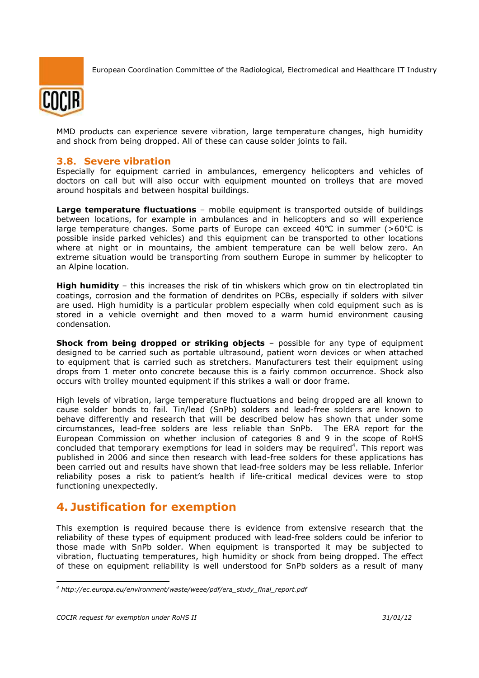

MMD products can experience severe vibration, large temperature changes, high humidity and shock from being dropped. All of these can cause solder joints to fail.

### **3.8. Severe vibration**

Especially for equipment carried in ambulances, emergency helicopters and vehicles of doctors on call but will also occur with equipment mounted on trolleys that are moved around hospitals and between hospital buildings.

**Large temperature fluctuations** – mobile equipment is transported outside of buildings between locations, for example in ambulances and in helicopters and so will experience large temperature changes. Some parts of Europe can exceed 40 $\degree$ C in summer (>60 $\degree$ C is possible inside parked vehicles) and this equipment can be transported to other locations where at night or in mountains, the ambient temperature can be well below zero. An extreme situation would be transporting from southern Europe in summer by helicopter to an Alpine location.

**High humidity** – this increases the risk of tin whiskers which grow on tin electroplated tin coatings, corrosion and the formation of dendrites on PCBs, especially if solders with silver are used. High humidity is a particular problem especially when cold equipment such as is stored in a vehicle overnight and then moved to a warm humid environment causing condensation.

**Shock from being dropped or striking objects** – possible for any type of equipment designed to be carried such as portable ultrasound, patient worn devices or when attached to equipment that is carried such as stretchers. Manufacturers test their equipment using drops from 1 meter onto concrete because this is a fairly common occurrence. Shock also occurs with trolley mounted equipment if this strikes a wall or door frame.

High levels of vibration, large temperature fluctuations and being dropped are all known to cause solder bonds to fail. Tin/lead (SnPb) solders and lead-free solders are known to behave differently and research that will be described below has shown that under some circumstances, lead-free solders are less reliable than SnPb. The ERA report for the European Commission on whether inclusion of categories 8 and 9 in the scope of RoHS concluded that temporary exemptions for lead in solders may be required<sup>4</sup>. This report was published in 2006 and since then research with lead-free solders for these applications has been carried out and results have shown that lead-free solders may be less reliable. Inferior reliability poses a risk to patient's health if life-critical medical devices were to stop functioning unexpectedly.

# **4. Justification for exemption**

This exemption is required because there is evidence from extensive research that the reliability of these types of equipment produced with lead-free solders could be inferior to those made with SnPb solder. When equipment is transported it may be subjected to vibration, fluctuating temperatures, high humidity or shock from being dropped. The effect of these on equipment reliability is well understood for SnPb solders as a result of many

<sup>-</sup>*4 http://ec.europa.eu/environment/waste/weee/pdf/era\_study\_final\_report.pdf*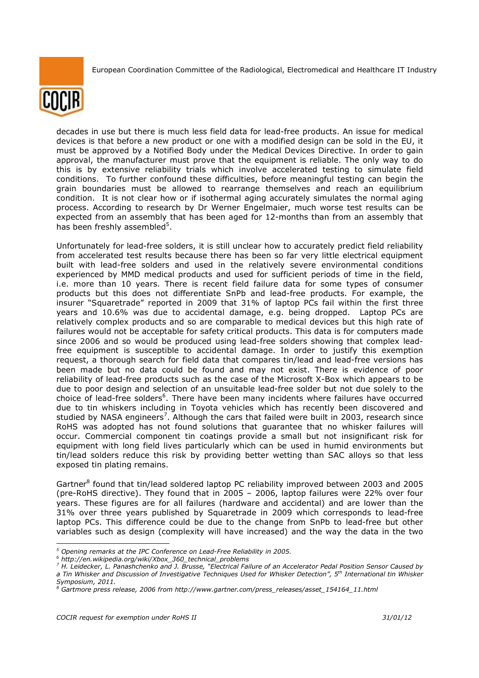

decades in use but there is much less field data for lead-free products. An issue for medical devices is that before a new product or one with a modified design can be sold in the EU, it must be approved by a Notified Body under the Medical Devices Directive. In order to gain approval, the manufacturer must prove that the equipment is reliable. The only way to do this is by extensive reliability trials which involve accelerated testing to simulate field conditions. To further confound these difficulties, before meaningful testing can begin the grain boundaries must be allowed to rearrange themselves and reach an equilibrium condition. It is not clear how or if isothermal aging accurately simulates the normal aging process. According to research by Dr Werner Engelmaier, much worse test results can be expected from an assembly that has been aged for 12-months than from an assembly that has been freshly assembled<sup>5</sup>.

Unfortunately for lead-free solders, it is still unclear how to accurately predict field reliability from accelerated test results because there has been so far very little electrical equipment built with lead-free solders and used in the relatively severe environmental conditions experienced by MMD medical products and used for sufficient periods of time in the field, i.e. more than 10 years. There is recent field failure data for some types of consumer products but this does not differentiate SnPb and lead-free products. For example, the insurer "Squaretrade" reported in 2009 that 31% of laptop PCs fail within the first three years and 10.6% was due to accidental damage, e.g. being dropped. Laptop PCs are relatively complex products and so are comparable to medical devices but this high rate of failures would not be acceptable for safety critical products. This data is for computers made since 2006 and so would be produced using lead-free solders showing that complex leadfree equipment is susceptible to accidental damage. In order to justify this exemption request, a thorough search for field data that compares tin/lead and lead-free versions has been made but no data could be found and may not exist. There is evidence of poor reliability of lead-free products such as the case of the Microsoft X-Box which appears to be due to poor design and selection of an unsuitable lead-free solder but not due solely to the choice of lead-free solders<sup>6</sup>. There have been many incidents where failures have occurred due to tin whiskers including in Toyota vehicles which has recently been discovered and studied by NASA engineers<sup>7</sup>. Although the cars that failed were built in 2003, research since RoHS was adopted has not found solutions that guarantee that no whisker failures will occur. Commercial component tin coatings provide a small but not insignificant risk for equipment with long field lives particularly which can be used in humid environments but tin/lead solders reduce this risk by providing better wetting than SAC alloys so that less exposed tin plating remains.

Gartner<sup>8</sup> found that tin/lead soldered laptop PC reliability improved between 2003 and 2005 (pre-RoHS directive). They found that in 2005 – 2006, laptop failures were 22% over four years. These figures are for all failures (hardware and accidental) and are lower than the 31% over three years published by Squaretrade in 2009 which corresponds to lead-free laptop PCs. This difference could be due to the change from SnPb to lead-free but other variables such as design (complexity will have increased) and the way the data in the two

*<sup>5</sup> Opening remarks at the IPC Conference on Lead-Free Reliability in 2005.* 

*<sup>6</sup> http://en.wikipedia.org/wiki/Xbox\_360\_technical\_problems* 

*<sup>7</sup> H. Leidecker, L. Panashchenko and J. Brusse, "Electrical Failure of an Accelerator Pedal Position Sensor Caused by a Tin Whisker and Discussion of Investigative Techniques Used for Whisker Detection", 5th International tin Whisker Symposium, 2011.* 

*<sup>8</sup> Gartmore press release, 2006 from http://www.gartner.com/press\_releases/asset\_154164\_11.html*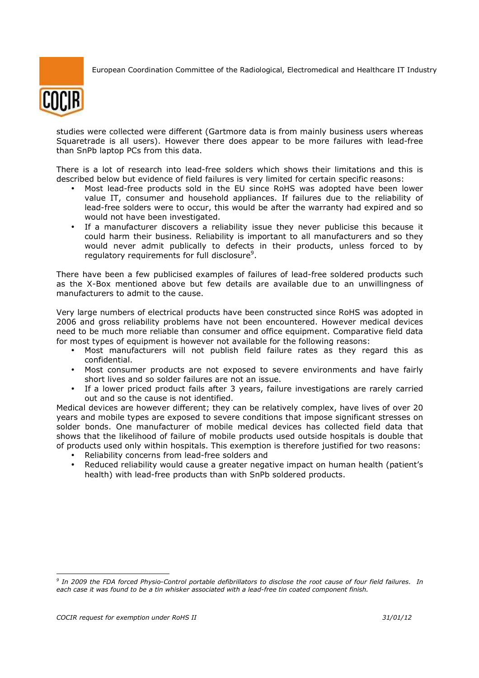

studies were collected were different (Gartmore data is from mainly business users whereas Squaretrade is all users). However there does appear to be more failures with lead-free than SnPb laptop PCs from this data.

There is a lot of research into lead-free solders which shows their limitations and this is described below but evidence of field failures is very limited for certain specific reasons:

- Most lead-free products sold in the EU since RoHS was adopted have been lower value IT, consumer and household appliances. If failures due to the reliability of lead-free solders were to occur, this would be after the warranty had expired and so would not have been investigated.
- If a manufacturer discovers a reliability issue they never publicise this because it could harm their business. Reliability is important to all manufacturers and so they would never admit publically to defects in their products, unless forced to by regulatory requirements for full disclosure<sup>9</sup>.

There have been a few publicised examples of failures of lead-free soldered products such as the X-Box mentioned above but few details are available due to an unwillingness of manufacturers to admit to the cause.

Very large numbers of electrical products have been constructed since RoHS was adopted in 2006 and gross reliability problems have not been encountered. However medical devices need to be much more reliable than consumer and office equipment. Comparative field data for most types of equipment is however not available for the following reasons:

- Most manufacturers will not publish field failure rates as they regard this as confidential.
- Most consumer products are not exposed to severe environments and have fairly short lives and so solder failures are not an issue.
- If a lower priced product fails after 3 years, failure investigations are rarely carried out and so the cause is not identified.

Medical devices are however different; they can be relatively complex, have lives of over 20 years and mobile types are exposed to severe conditions that impose significant stresses on solder bonds. One manufacturer of mobile medical devices has collected field data that shows that the likelihood of failure of mobile products used outside hospitals is double that of products used only within hospitals. This exemption is therefore justified for two reasons:

- Reliability concerns from lead-free solders and
- Reduced reliability would cause a greater negative impact on human health (patient's health) with lead-free products than with SnPb soldered products.

*<sup>9</sup> In 2009 the FDA forced Physio-Control portable defibrillators to disclose the root cause of four field failures. In each case it was found to be a tin whisker associated with a lead-free tin coated component finish.*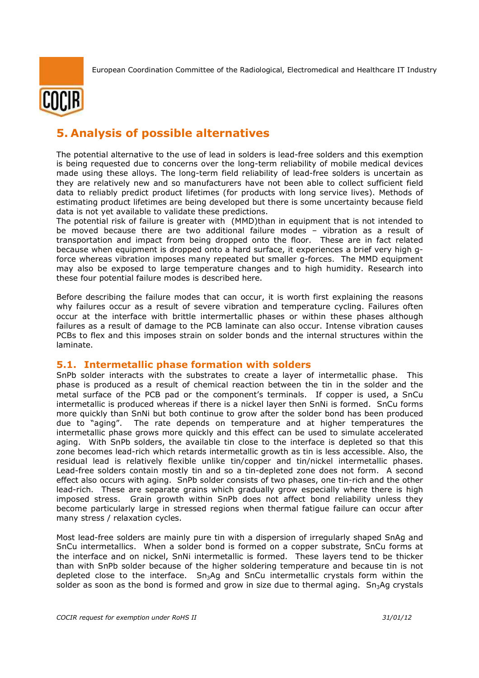

# **5. Analysis of possible alternatives**

The potential alternative to the use of lead in solders is lead-free solders and this exemption is being requested due to concerns over the long-term reliability of mobile medical devices made using these alloys. The long-term field reliability of lead-free solders is uncertain as they are relatively new and so manufacturers have not been able to collect sufficient field data to reliably predict product lifetimes (for products with long service lives). Methods of estimating product lifetimes are being developed but there is some uncertainty because field data is not yet available to validate these predictions.

The potential risk of failure is greater with (MMD)than in equipment that is not intended to be moved because there are two additional failure modes – vibration as a result of transportation and impact from being dropped onto the floor. These are in fact related because when equipment is dropped onto a hard surface, it experiences a brief very high gforce whereas vibration imposes many repeated but smaller g-forces. The MMD equipment may also be exposed to large temperature changes and to high humidity. Research into these four potential failure modes is described here.

Before describing the failure modes that can occur, it is worth first explaining the reasons why failures occur as a result of severe vibration and temperature cycling. Failures often occur at the interface with brittle intermertallic phases or within these phases although failures as a result of damage to the PCB laminate can also occur. Intense vibration causes PCBs to flex and this imposes strain on solder bonds and the internal structures within the laminate.

#### **5.1. Intermetallic phase formation with solders**

SnPb solder interacts with the substrates to create a layer of intermetallic phase. This phase is produced as a result of chemical reaction between the tin in the solder and the metal surface of the PCB pad or the component's terminals. If copper is used, a SnCu intermetallic is produced whereas if there is a nickel layer then SnNi is formed. SnCu forms more quickly than SnNi but both continue to grow after the solder bond has been produced due to "aging". The rate depends on temperature and at higher temperatures the intermetallic phase grows more quickly and this effect can be used to simulate accelerated aging. With SnPb solders, the available tin close to the interface is depleted so that this zone becomes lead-rich which retards intermetallic growth as tin is less accessible. Also, the residual lead is relatively flexible unlike tin/copper and tin/nickel intermetallic phases. Lead-free solders contain mostly tin and so a tin-depleted zone does not form. A second effect also occurs with aging. SnPb solder consists of two phases, one tin-rich and the other lead-rich. These are separate grains which gradually grow especially where there is high imposed stress. Grain growth within SnPb does not affect bond reliability unless they become particularly large in stressed regions when thermal fatigue failure can occur after many stress / relaxation cycles.

Most lead-free solders are mainly pure tin with a dispersion of irregularly shaped SnAg and SnCu intermetallics. When a solder bond is formed on a copper substrate, SnCu forms at the interface and on nickel, SnNi intermetallic is formed. These layers tend to be thicker than with SnPb solder because of the higher soldering temperature and because tin is not depleted close to the interface.  $Sn<sub>3</sub>Ag$  and SnCu intermetallic crystals form within the solder as soon as the bond is formed and grow in size due to thermal aging.  $Sn<sub>3</sub>Ag$  crystals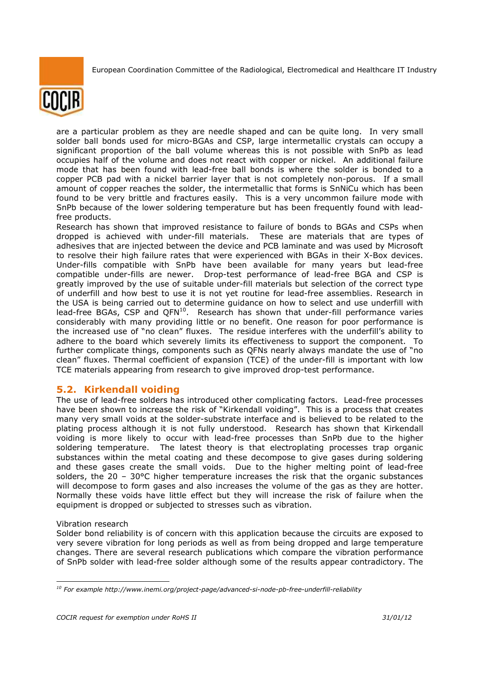

are a particular problem as they are needle shaped and can be quite long. In very small solder ball bonds used for micro-BGAs and CSP, large intermetallic crystals can occupy a significant proportion of the ball volume whereas this is not possible with SnPb as lead occupies half of the volume and does not react with copper or nickel. An additional failure mode that has been found with lead-free ball bonds is where the solder is bonded to a copper PCB pad with a nickel barrier layer that is not completely non-porous. If a small amount of copper reaches the solder, the intermetallic that forms is SnNiCu which has been found to be very brittle and fractures easily. This is a very uncommon failure mode with SnPb because of the lower soldering temperature but has been frequently found with leadfree products.

Research has shown that improved resistance to failure of bonds to BGAs and CSPs when dropped is achieved with under-fill materials. These are materials that are types of adhesives that are injected between the device and PCB laminate and was used by Microsoft to resolve their high failure rates that were experienced with BGAs in their X-Box devices. Under-fills compatible with SnPb have been available for many years but lead-free compatible under-fills are newer. Drop-test performance of lead-free BGA and CSP is greatly improved by the use of suitable under-fill materials but selection of the correct type of underfill and how best to use it is not yet routine for lead-free assemblies. Research in the USA is being carried out to determine guidance on how to select and use underfill with lead-free BGAs, CSP and QFN<sup>10</sup>. Research has shown that under-fill performance varies considerably with many providing little or no benefit. One reason for poor performance is the increased use of "no clean" fluxes. The residue interferes with the underfill's ability to adhere to the board which severely limits its effectiveness to support the component. To further complicate things, components such as QFNs nearly always mandate the use of "no clean" fluxes. Thermal coefficient of expansion (TCE) of the under-fill is important with low TCE materials appearing from research to give improved drop-test performance.

## **5.2. Kirkendall voiding**

The use of lead-free solders has introduced other complicating factors. Lead-free processes have been shown to increase the risk of "Kirkendall voiding". This is a process that creates many very small voids at the solder-substrate interface and is believed to be related to the plating process although it is not fully understood. Research has shown that Kirkendall voiding is more likely to occur with lead-free processes than SnPb due to the higher soldering temperature. The latest theory is that electroplating processes trap organic substances within the metal coating and these decompose to give gases during soldering and these gases create the small voids. Due to the higher melting point of lead-free solders, the  $20 - 30^{\circ}$ C higher temperature increases the risk that the organic substances will decompose to form gases and also increases the volume of the gas as they are hotter. Normally these voids have little effect but they will increase the risk of failure when the equipment is dropped or subjected to stresses such as vibration.

#### Vibration research

Solder bond reliability is of concern with this application because the circuits are exposed to very severe vibration for long periods as well as from being dropped and large temperature changes. There are several research publications which compare the vibration performance of SnPb solder with lead-free solder although some of the results appear contradictory. The

<sup>-</sup>*<sup>10</sup> For example http://www.inemi.org/project-page/advanced-si-node-pb-free-underfill-reliability*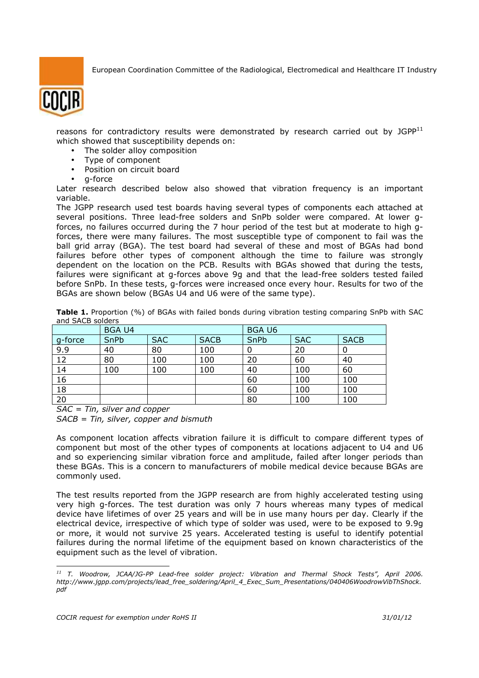

reasons for contradictory results were demonstrated by research carried out by  $JGPP<sup>11</sup>$ which showed that susceptibility depends on:

- The solder alloy composition
- Type of component
- Position on circuit board
- g-force

Later research described below also showed that vibration frequency is an important variable.

The JGPP research used test boards having several types of components each attached at several positions. Three lead-free solders and SnPb solder were compared. At lower gforces, no failures occurred during the 7 hour period of the test but at moderate to high gforces, there were many failures. The most susceptible type of component to fail was the ball grid array (BGA). The test board had several of these and most of BGAs had bond failures before other types of component although the time to failure was strongly dependent on the location on the PCB. Results with BGAs showed that during the tests, failures were significant at g-forces above 9g and that the lead-free solders tested failed before SnPb. In these tests, g-forces were increased once every hour. Results for two of the BGAs are shown below (BGAs U4 and U6 were of the same type).

|                  | Table 1. Proportion (%) of BGAs with failed bonds during vibration testing comparing SnPb with SAC |  |  |  |  |  |  |
|------------------|----------------------------------------------------------------------------------------------------|--|--|--|--|--|--|
| and SACB solders |                                                                                                    |  |  |  |  |  |  |

|                 | <b>BGA U4</b> |            |             | <b>BGAU6</b> |            |             |
|-----------------|---------------|------------|-------------|--------------|------------|-------------|
| g-force         | SnPb          | <b>SAC</b> | <b>SACB</b> | SnPb         | <b>SAC</b> | <b>SACB</b> |
| 9.9             | 40            | 80         | 100         | 0            | 20         |             |
| $\overline{12}$ | 80            | 100        | 100         | 20           | 60         | 40          |
| 14              | 100           | 100        | 100         | 40           | 100        | 60          |
| 16              |               |            |             | 60           | 100        | 100         |
| 18              |               |            |             | 60           | 100        | 100         |
| 20              |               |            |             | 80           | 100        | 100         |

*SAC = Tin, silver and copper* 

*SACB = Tin, silver, copper and bismuth*

As component location affects vibration failure it is difficult to compare different types of component but most of the other types of components at locations adjacent to U4 and U6 and so experiencing similar vibration force and amplitude, failed after longer periods than these BGAs. This is a concern to manufacturers of mobile medical device because BGAs are commonly used.

The test results reported from the JGPP research are from highly accelerated testing using very high g-forces. The test duration was only 7 hours whereas many types of medical device have lifetimes of over 25 years and will be in use many hours per day. Clearly if the electrical device, irrespective of which type of solder was used, were to be exposed to 9.9g or more, it would not survive 25 years. Accelerated testing is useful to identify potential failures during the normal lifetime of the equipment based on known characteristics of the equipment such as the level of vibration.

<sup>-</sup>*<sup>11</sup> T. Woodrow, JCAA/JG-PP Lead-free solder project: Vibration and Thermal Shock Tests", April 2006. http://www.jgpp.com/projects/lead\_free\_soldering/April\_4\_Exec\_Sum\_Presentations/040406WoodrowVibThShock. pdf*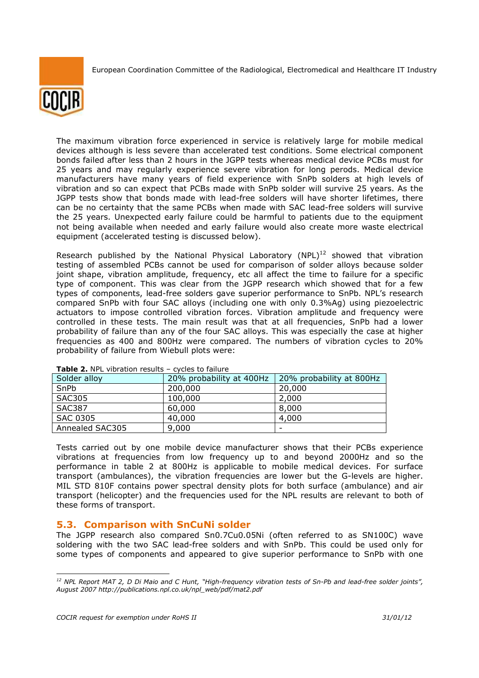

The maximum vibration force experienced in service is relatively large for mobile medical devices although is less severe than accelerated test conditions. Some electrical component bonds failed after less than 2 hours in the JGPP tests whereas medical device PCBs must for 25 years and may regularly experience severe vibration for long perods. Medical device manufacturers have many years of field experience with SnPb solders at high levels of vibration and so can expect that PCBs made with SnPb solder will survive 25 years. As the JGPP tests show that bonds made with lead-free solders will have shorter lifetimes, there can be no certainty that the same PCBs when made with SAC lead-free solders will survive the 25 years. Unexpected early failure could be harmful to patients due to the equipment not being available when needed and early failure would also create more waste electrical equipment (accelerated testing is discussed below).

Research published by the National Physical Laboratory  $(NPL)^{12}$  showed that vibration testing of assembled PCBs cannot be used for comparison of solder alloys because solder joint shape, vibration amplitude, frequency, etc all affect the time to failure for a specific type of component. This was clear from the JGPP research which showed that for a few types of components, lead-free solders gave superior performance to SnPb. NPL's research compared SnPb with four SAC alloys (including one with only 0.3%Ag) using piezoelectric actuators to impose controlled vibration forces. Vibration amplitude and frequency were controlled in these tests. The main result was that at all frequencies, SnPb had a lower probability of failure than any of the four SAC alloys. This was especially the case at higher frequencies as 400 and 800Hz were compared. The numbers of vibration cycles to 20% probability of failure from Wiebull plots were:

| $\blacksquare$<br>$\epsilon$ , cres to range |                          |                          |  |  |  |
|----------------------------------------------|--------------------------|--------------------------|--|--|--|
| Solder alloy                                 | 20% probability at 400Hz | 20% probability at 800Hz |  |  |  |
| SnPb                                         | 200,000                  | 20,000                   |  |  |  |
| <b>SAC305</b>                                | 100,000                  | 2,000                    |  |  |  |
| <b>SAC387</b>                                | 60,000                   | 8,000                    |  |  |  |
| <b>SAC 0305</b>                              | 40,000                   | 4,000                    |  |  |  |
| Annealed SAC305                              | 9,000                    | -                        |  |  |  |

**Table 2.** NPL vibration results – cycles to failure

Tests carried out by one mobile device manufacturer shows that their PCBs experience vibrations at frequencies from low frequency up to and beyond 2000Hz and so the performance in table 2 at 800Hz is applicable to mobile medical devices. For surface transport (ambulances), the vibration frequencies are lower but the G-levels are higher. MIL STD 810F contains power spectral density plots for both surface (ambulance) and air transport (helicopter) and the frequencies used for the NPL results are relevant to both of these forms of transport.

## **5.3. Comparison with SnCuNi solder**

The JGPP research also compared Sn0.7Cu0.05Ni (often referred to as SN100C) wave soldering with the two SAC lead-free solders and with SnPb. This could be used only for some types of components and appeared to give superior performance to SnPb with one

*<sup>12</sup> NPL Report MAT 2, D Di Maio and C Hunt, "High-frequency vibration tests of Sn-Pb and lead-free solder joints", August 2007 http://publications.npl.co.uk/npl\_web/pdf/mat2.pdf*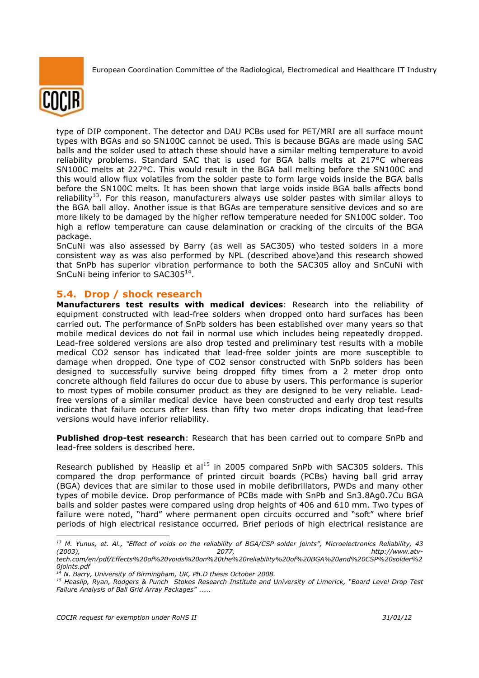

type of DIP component. The detector and DAU PCBs used for PET/MRI are all surface mount types with BGAs and so SN100C cannot be used. This is because BGAs are made using SAC balls and the solder used to attach these should have a similar melting temperature to avoid reliability problems. Standard SAC that is used for BGA balls melts at 217°C whereas SN100C melts at 227°C. This would result in the BGA ball melting before the SN100C and this would allow flux volatiles from the solder paste to form large voids inside the BGA balls before the SN100C melts. It has been shown that large voids inside BGA balls affects bond reliability<sup>13</sup>. For this reason, manufacturers always use solder pastes with similar alloys to the BGA ball alloy. Another issue is that BGAs are temperature sensitive devices and so are more likely to be damaged by the higher reflow temperature needed for SN100C solder. Too high a reflow temperature can cause delamination or cracking of the circuits of the BGA package.

SnCuNi was also assessed by Barry (as well as SAC305) who tested solders in a more consistent way as was also performed by NPL (described above)and this research showed that SnPb has superior vibration performance to both the SAC305 alloy and SnCuNi with SnCuNi being inferior to SAC305 $^{14}$ .

## **5.4. Drop / shock research**

**Manufacturers test results with medical devices**: Research into the reliability of equipment constructed with lead-free solders when dropped onto hard surfaces has been carried out. The performance of SnPb solders has been established over many years so that mobile medical devices do not fail in normal use which includes being repeatedly dropped. Lead-free soldered versions are also drop tested and preliminary test results with a mobile medical CO2 sensor has indicated that lead-free solder joints are more susceptible to damage when dropped. One type of CO2 sensor constructed with SnPb solders has been designed to successfully survive being dropped fifty times from a 2 meter drop onto concrete although field failures do occur due to abuse by users. This performance is superior to most types of mobile consumer product as they are designed to be very reliable. Leadfree versions of a similar medical device have been constructed and early drop test results indicate that failure occurs after less than fifty two meter drops indicating that lead-free versions would have inferior reliability.

**Published drop-test research**: Research that has been carried out to compare SnPb and lead-free solders is described here.

Research published by Heaslip et  $al<sup>15</sup>$  in 2005 compared SnPb with SAC305 solders. This compared the drop performance of printed circuit boards (PCBs) having ball grid array (BGA) devices that are similar to those used in mobile defibrillators, PWDs and many other types of mobile device. Drop performance of PCBs made with SnPb and Sn3.8Ag0.7Cu BGA balls and solder pastes were compared using drop heights of 406 and 610 mm. Two types of failure were noted, "hard" where permanent open circuits occurred and "soft" where brief periods of high electrical resistance occurred. Brief periods of high electrical resistance are

*<sup>13</sup> M. Yunus, et. Al., "Effect of voids on the reliability of BGA/CSP solder joints", Microelectronics Reliability, 43 (2003), 2077, http://www.atvtech.com/en/pdf/Effects%20of%20voids%20on%20the%20reliability%20of%20BGA%20and%20CSP%20solder%2*

*<sup>0</sup>joints.pdf <sup>14</sup> N. Barry, University of Birmingham, UK, Ph.D thesis October 2008.* 

*<sup>15</sup> Heaslip, Ryan, Rodgers & Punch Stokes Research Institute and University of Limerick, "Board Level Drop Test Failure Analysis of Ball Grid Array Packages" …….*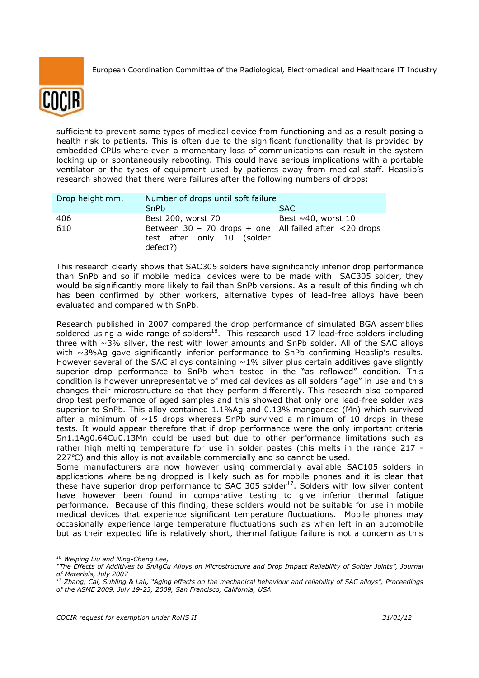

sufficient to prevent some types of medical device from functioning and as a result posing a health risk to patients. This is often due to the significant functionality that is provided by embedded CPUs where even a momentary loss of communications can result in the system locking up or spontaneously rebooting. This could have serious implications with a portable ventilator or the types of equipment used by patients away from medical staff. Heaslip's research showed that there were failures after the following numbers of drops:

| Drop height mm. | Number of drops until soft failure                                                                      |                          |  |  |  |
|-----------------|---------------------------------------------------------------------------------------------------------|--------------------------|--|--|--|
|                 | SnPb                                                                                                    | <b>SAC</b>               |  |  |  |
| 406             | Best 200, worst 70                                                                                      | Best $\sim$ 40, worst 10 |  |  |  |
| 610             | Between 30 - 70 drops + one   All failed after $\lt$ 20 drops<br>test after only 10 (solder<br>defect?) |                          |  |  |  |

This research clearly shows that SAC305 solders have significantly inferior drop performance than SnPb and so if mobile medical devices were to be made with SAC305 solder, they would be significantly more likely to fail than SnPb versions. As a result of this finding which has been confirmed by other workers, alternative types of lead-free alloys have been evaluated and compared with SnPb.

Research published in 2007 compared the drop performance of simulated BGA assemblies soldered using a wide range of solders<sup>16</sup>. This research used 17 lead-free solders including three with  $\sim$ 3% silver, the rest with lower amounts and SnPb solder. All of the SAC alloys with ~3%Ag gave significantly inferior performance to SnPb confirming Heaslip's results. However several of the SAC alloys containing  $~1\%$  silver plus certain additives gave slightly superior drop performance to SnPb when tested in the "as reflowed" condition. This condition is however unrepresentative of medical devices as all solders "age" in use and this changes their microstructure so that they perform differently. This research also compared drop test performance of aged samples and this showed that only one lead-free solder was superior to SnPb. This alloy contained 1.1%Ag and 0.13% manganese (Mn) which survived after a minimum of  $\sim$ 15 drops whereas SnPb survived a minimum of 10 drops in these tests. It would appear therefore that if drop performance were the only important criteria Sn1.1Ag0.64Cu0.13Mn could be used but due to other performance limitations such as rather high melting temperature for use in solder pastes (this melts in the range 217 - 227°C) and this alloy is not available commercially and so cannot be used.

Some manufacturers are now however using commercially available SAC105 solders in applications where being dropped is likely such as for mobile phones and it is clear that these have superior drop performance to SAC 305 solder $17$ . Solders with low silver content have however been found in comparative testing to give inferior thermal fatigue performance. Because of this finding, these solders would not be suitable for use in mobile medical devices that experience significant temperature fluctuations. Mobile phones may occasionally experience large temperature fluctuations such as when left in an automobile but as their expected life is relatively short, thermal fatigue failure is not a concern as this

<sup>-</sup>*<sup>16</sup> Weiping Liu and Ning-Cheng Lee,* 

*<sup>&</sup>quot;The Effects of Additives to SnAgCu Alloys on Microstructure and Drop Impact Reliability of Solder Joints", Journal of Materials, July 2007* 

*<sup>17</sup> Zhang, Cai, Suhling & Lall, "Aging effects on the mechanical behaviour and reliability of SAC alloys", Proceedings of the ASME 2009, July 19-23, 2009, San Francisco, California, USA*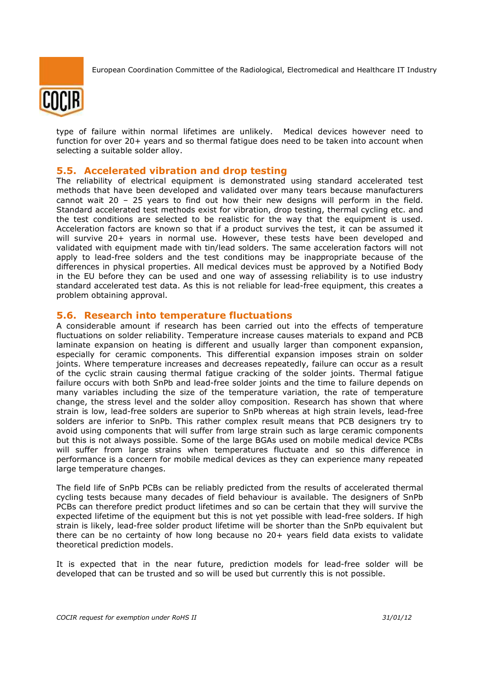

type of failure within normal lifetimes are unlikely. Medical devices however need to function for over 20+ years and so thermal fatigue does need to be taken into account when selecting a suitable solder alloy.

#### **5.5. Accelerated vibration and drop testing**

The reliability of electrical equipment is demonstrated using standard accelerated test methods that have been developed and validated over many tears because manufacturers cannot wait 20 – 25 years to find out how their new designs will perform in the field. Standard accelerated test methods exist for vibration, drop testing, thermal cycling etc. and the test conditions are selected to be realistic for the way that the equipment is used. Acceleration factors are known so that if a product survives the test, it can be assumed it will survive 20+ years in normal use. However, these tests have been developed and validated with equipment made with tin/lead solders. The same acceleration factors will not apply to lead-free solders and the test conditions may be inappropriate because of the differences in physical properties. All medical devices must be approved by a Notified Body in the EU before they can be used and one way of assessing reliability is to use industry standard accelerated test data. As this is not reliable for lead-free equipment, this creates a problem obtaining approval.

#### **5.6. Research into temperature fluctuations**

A considerable amount if research has been carried out into the effects of temperature fluctuations on solder reliability. Temperature increase causes materials to expand and PCB laminate expansion on heating is different and usually larger than component expansion, especially for ceramic components. This differential expansion imposes strain on solder joints. Where temperature increases and decreases repeatedly, failure can occur as a result of the cyclic strain causing thermal fatigue cracking of the solder joints. Thermal fatigue failure occurs with both SnPb and lead-free solder joints and the time to failure depends on many variables including the size of the temperature variation, the rate of temperature change, the stress level and the solder alloy composition. Research has shown that where strain is low, lead-free solders are superior to SnPb whereas at high strain levels, lead-free solders are inferior to SnPb. This rather complex result means that PCB designers try to avoid using components that will suffer from large strain such as large ceramic components but this is not always possible. Some of the large BGAs used on mobile medical device PCBs will suffer from large strains when temperatures fluctuate and so this difference in performance is a concern for mobile medical devices as they can experience many repeated large temperature changes.

The field life of SnPb PCBs can be reliably predicted from the results of accelerated thermal cycling tests because many decades of field behaviour is available. The designers of SnPb PCBs can therefore predict product lifetimes and so can be certain that they will survive the expected lifetime of the equipment but this is not yet possible with lead-free solders. If high strain is likely, lead-free solder product lifetime will be shorter than the SnPb equivalent but there can be no certainty of how long because no 20+ years field data exists to validate theoretical prediction models.

It is expected that in the near future, prediction models for lead-free solder will be developed that can be trusted and so will be used but currently this is not possible.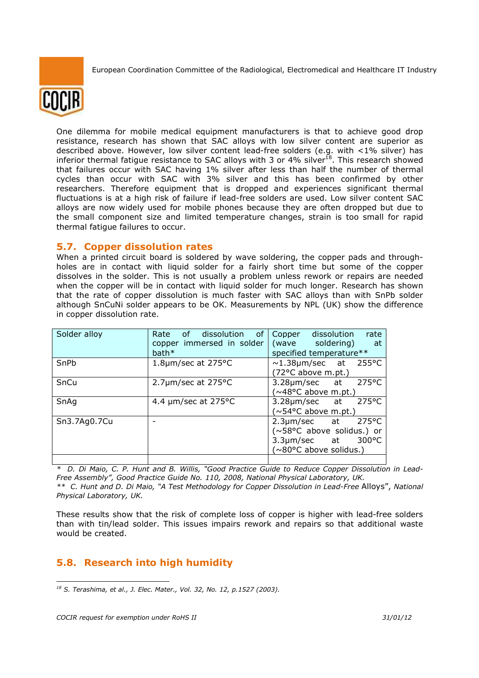

One dilemma for mobile medical equipment manufacturers is that to achieve good drop resistance, research has shown that SAC alloys with low silver content are superior as described above. However, low silver content lead-free solders (e.g. with <1% silver) has inferior thermal fatigue resistance to SAC alloys with 3 or 4% silver $^{18}$ . This research showed that failures occur with SAC having 1% silver after less than half the number of thermal cycles than occur with SAC with 3% silver and this has been confirmed by other researchers. Therefore equipment that is dropped and experiences significant thermal fluctuations is at a high risk of failure if lead-free solders are used. Low silver content SAC alloys are now widely used for mobile phones because they are often dropped but due to the small component size and limited temperature changes, strain is too small for rapid thermal fatigue failures to occur.

### **5.7. Copper dissolution rates**

When a printed circuit board is soldered by wave soldering, the copper pads and throughholes are in contact with liquid solder for a fairly short time but some of the copper dissolves in the solder. This is not usually a problem unless rework or repairs are needed when the copper will be in contact with liquid solder for much longer. Research has shown that the rate of copper dissolution is much faster with SAC alloys than with SnPb solder although SnCuNi solder appears to be OK. Measurements by NPL (UK) show the difference in copper dissolution rate.

| Solder alloy | Rate of dissolution of<br>copper immersed in solder<br>$bath*$ | Copper dissolution<br>rate<br>(wave soldering)<br>at at<br>specified temperature**                          |
|--------------|----------------------------------------------------------------|-------------------------------------------------------------------------------------------------------------|
| SnPb         | 1.8 $\mu$ m/sec at 275°C                                       | $\sim$ 1.38µm/sec at 255 °C<br>(72°C above m.pt.)                                                           |
| SnCu         | 2.7µm/sec at 275°C                                             | 275°C<br>3.28µm/sec at<br>$(\sim 48$ °C above m.pt.)                                                        |
| SnAq         | 4.4 $\mu$ m/sec at 275°C                                       | $275^{\circ}$ C<br>$3.28 \mu m/sec$ at<br>$(\sim 54$ °C above m.pt.)                                        |
| Sn3.7Ag0.7Cu |                                                                | 275°C<br>$2.3 \mu m/sec$ at<br>(~58°C above solidus.) or<br>300°C<br>3.3µm/sec at<br>(~80°C above solidus.) |
|              |                                                                |                                                                                                             |

*\* D. Di Maio, C. P. Hunt and B. Willis, "Good Practice Guide to Reduce Copper Dissolution in Lead-Free Assembly", Good Practice Guide No. 110, 2008, National Physical Laboratory, UK. \*\* C. Hunt and D. Di Maio, "A Test Methodology for Copper Dissolution in Lead-Free* Alloys", *National Physical Laboratory, UK.* 

These results show that the risk of complete loss of copper is higher with lead-free solders than with tin/lead solder. This issues impairs rework and repairs so that additional waste would be created.

## **5.8. Research into high humidity**

<sup>-</sup>*<sup>18</sup> S. Terashima, et al., J. Elec. Mater., Vol. 32, No. 12, p.1527 (2003).*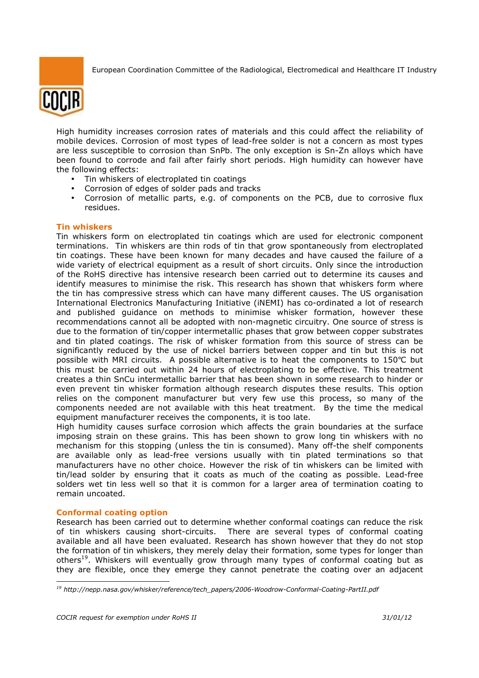

High humidity increases corrosion rates of materials and this could affect the reliability of mobile devices. Corrosion of most types of lead-free solder is not a concern as most types are less susceptible to corrosion than SnPb. The only exception is Sn-Zn alloys which have been found to corrode and fail after fairly short periods. High humidity can however have the following effects:

- Tin whiskers of electroplated tin coatings
- Corrosion of edges of solder pads and tracks
- Corrosion of metallic parts, e.g. of components on the PCB, due to corrosive flux residues.

#### **Tin whiskers**

Tin whiskers form on electroplated tin coatings which are used for electronic component terminations. Tin whiskers are thin rods of tin that grow spontaneously from electroplated tin coatings. These have been known for many decades and have caused the failure of a wide variety of electrical equipment as a result of short circuits. Only since the introduction of the RoHS directive has intensive research been carried out to determine its causes and identify measures to minimise the risk. This research has shown that whiskers form where the tin has compressive stress which can have many different causes. The US organisation International Electronics Manufacturing Initiative (iNEMI) has co-ordinated a lot of research and published guidance on methods to minimise whisker formation, however these recommendations cannot all be adopted with non-magnetic circuitry. One source of stress is due to the formation of tin/copper intermetallic phases that grow between copper substrates and tin plated coatings. The risk of whisker formation from this source of stress can be significantly reduced by the use of nickel barriers between copper and tin but this is not possible with MRI circuits. A possible alternative is to heat the components to 150°C but this must be carried out within 24 hours of electroplating to be effective. This treatment creates a thin SnCu intermetallic barrier that has been shown in some research to hinder or even prevent tin whisker formation although research disputes these results. This option relies on the component manufacturer but very few use this process, so many of the components needed are not available with this heat treatment. By the time the medical equipment manufacturer receives the components, it is too late.

High humidity causes surface corrosion which affects the grain boundaries at the surface imposing strain on these grains. This has been shown to grow long tin whiskers with no mechanism for this stopping (unless the tin is consumed). Many off-the shelf components are available only as lead-free versions usually with tin plated terminations so that manufacturers have no other choice. However the risk of tin whiskers can be limited with tin/lead solder by ensuring that it coats as much of the coating as possible. Lead-free solders wet tin less well so that it is common for a larger area of termination coating to remain uncoated.

#### **Conformal coating option**

Research has been carried out to determine whether conformal coatings can reduce the risk of tin whiskers causing short-circuits. There are several types of conformal coating available and all have been evaluated. Research has shown however that they do not stop the formation of tin whiskers, they merely delay their formation, some types for longer than others<sup>19</sup>. Whiskers will eventually grow through many types of conformal coating but as they are flexible, once they emerge they cannot penetrate the coating over an adjacent

<sup>-</sup>*<sup>19</sup> http://nepp.nasa.gov/whisker/reference/tech\_papers/2006-Woodrow-Conformal-Coating-PartII.pdf*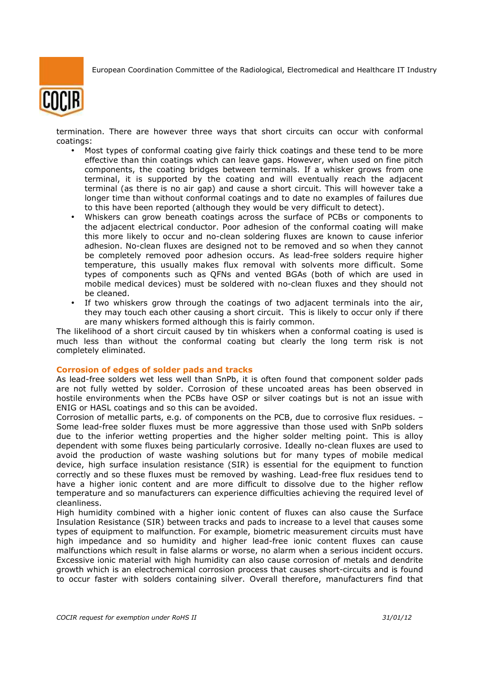

termination. There are however three ways that short circuits can occur with conformal coatings:

- Most types of conformal coating give fairly thick coatings and these tend to be more effective than thin coatings which can leave gaps. However, when used on fine pitch components, the coating bridges between terminals. If a whisker grows from one terminal, it is supported by the coating and will eventually reach the adjacent terminal (as there is no air gap) and cause a short circuit. This will however take a longer time than without conformal coatings and to date no examples of failures due to this have been reported (although they would be very difficult to detect).
- Whiskers can grow beneath coatings across the surface of PCBs or components to the adjacent electrical conductor. Poor adhesion of the conformal coating will make this more likely to occur and no-clean soldering fluxes are known to cause inferior adhesion. No-clean fluxes are designed not to be removed and so when they cannot be completely removed poor adhesion occurs. As lead-free solders require higher temperature, this usually makes flux removal with solvents more difficult. Some types of components such as QFNs and vented BGAs (both of which are used in mobile medical devices) must be soldered with no-clean fluxes and they should not be cleaned.
- If two whiskers grow through the coatings of two adjacent terminals into the air, they may touch each other causing a short circuit. This is likely to occur only if there are many whiskers formed although this is fairly common.

The likelihood of a short circuit caused by tin whiskers when a conformal coating is used is much less than without the conformal coating but clearly the long term risk is not completely eliminated.

#### **Corrosion of edges of solder pads and tracks**

As lead-free solders wet less well than SnPb, it is often found that component solder pads are not fully wetted by solder. Corrosion of these uncoated areas has been observed in hostile environments when the PCBs have OSP or silver coatings but is not an issue with ENIG or HASL coatings and so this can be avoided.

Corrosion of metallic parts, e.g. of components on the PCB, due to corrosive flux residues. – Some lead-free solder fluxes must be more aggressive than those used with SnPb solders due to the inferior wetting properties and the higher solder melting point. This is alloy dependent with some fluxes being particularly corrosive. Ideally no-clean fluxes are used to avoid the production of waste washing solutions but for many types of mobile medical device, high surface insulation resistance (SIR) is essential for the equipment to function correctly and so these fluxes must be removed by washing. Lead-free flux residues tend to have a higher ionic content and are more difficult to dissolve due to the higher reflow temperature and so manufacturers can experience difficulties achieving the required level of cleanliness.

High humidity combined with a higher ionic content of fluxes can also cause the Surface Insulation Resistance (SIR) between tracks and pads to increase to a level that causes some types of equipment to malfunction. For example, biometric measurement circuits must have high impedance and so humidity and higher lead-free ionic content fluxes can cause malfunctions which result in false alarms or worse, no alarm when a serious incident occurs. Excessive ionic material with high humidity can also cause corrosion of metals and dendrite growth which is an electrochemical corrosion process that causes short-circuits and is found to occur faster with solders containing silver. Overall therefore, manufacturers find that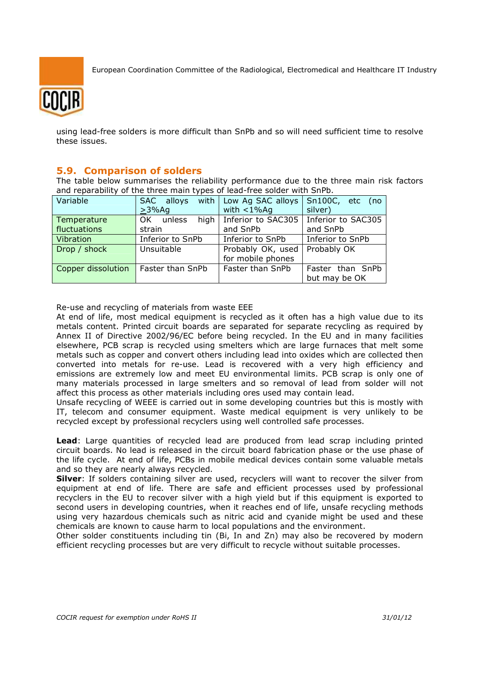

using lead-free solders is more difficult than SnPb and so will need sufficient time to resolve these issues.

### **5.9. Comparison of solders**

The table below summarises the reliability performance due to the three main risk factors and reparability of the three main types of lead-free solder with SnPb.

| Variable           | SAC alloys       | with   Low Ag SAC alloys    | Sn100C, etc<br>no) |
|--------------------|------------------|-----------------------------|--------------------|
|                    | $>3\%$ Aq        | with $<$ 1% Ag              | silver)            |
| Temperature        | OK<br>unless     | high   Inferior to $SAC305$ | Inferior to SAC305 |
| fluctuations       | strain           | and SnPb                    | and SnPb           |
| Vibration          | Inferior to SnPb | Inferior to SnPb            | Inferior to SnPb   |
| Drop / shock       | Unsuitable       | Probably OK, used           | Probably OK        |
|                    |                  | for mobile phones           |                    |
| Copper dissolution | Faster than SnPb | Faster than SnPb            | Faster than SnPb   |
|                    |                  |                             | but may be OK      |

Re-use and recycling of materials from waste EEE

At end of life, most medical equipment is recycled as it often has a high value due to its metals content. Printed circuit boards are separated for separate recycling as required by Annex II of Directive 2002/96/EC before being recycled. In the EU and in many facilities elsewhere, PCB scrap is recycled using smelters which are large furnaces that melt some metals such as copper and convert others including lead into oxides which are collected then converted into metals for re-use. Lead is recovered with a very high efficiency and emissions are extremely low and meet EU environmental limits. PCB scrap is only one of many materials processed in large smelters and so removal of lead from solder will not affect this process as other materials including ores used may contain lead.

Unsafe recycling of WEEE is carried out in some developing countries but this is mostly with IT, telecom and consumer equipment. Waste medical equipment is very unlikely to be recycled except by professional recyclers using well controlled safe processes.

**Lead**: Large quantities of recycled lead are produced from lead scrap including printed circuit boards. No lead is released in the circuit board fabrication phase or the use phase of the life cycle. At end of life, PCBs in mobile medical devices contain some valuable metals and so they are nearly always recycled.

**Silver**: If solders containing silver are used, recyclers will want to recover the silver from equipment at end of life. There are safe and efficient processes used by professional recyclers in the EU to recover silver with a high yield but if this equipment is exported to second users in developing countries, when it reaches end of life, unsafe recycling methods using very hazardous chemicals such as nitric acid and cyanide might be used and these chemicals are known to cause harm to local populations and the environment.

Other solder constituents including tin (Bi, In and Zn) may also be recovered by modern efficient recycling processes but are very difficult to recycle without suitable processes.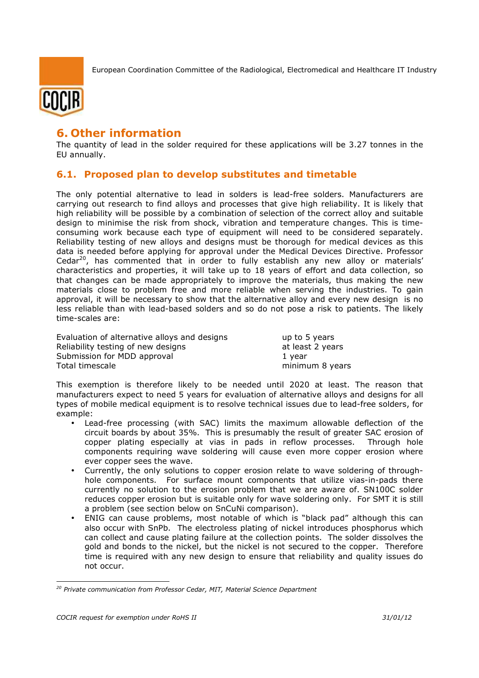



# **6. Other information**

The quantity of lead in the solder required for these applications will be 3.27 tonnes in the EU annually.

## **6.1. Proposed plan to develop substitutes and timetable**

The only potential alternative to lead in solders is lead-free solders. Manufacturers are carrying out research to find alloys and processes that give high reliability. It is likely that high reliability will be possible by a combination of selection of the correct alloy and suitable design to minimise the risk from shock, vibration and temperature changes. This is timeconsuming work because each type of equipment will need to be considered separately. Reliability testing of new alloys and designs must be thorough for medical devices as this data is needed before applying for approval under the Medical Devices Directive. Professor Cedar<sup>20</sup>, has commented that in order to fully establish any new alloy or materials' characteristics and properties, it will take up to 18 years of effort and data collection, so that changes can be made appropriately to improve the materials, thus making the new materials close to problem free and more reliable when serving the industries. To gain approval, it will be necessary to show that the alternative alloy and every new design is no less reliable than with lead-based solders and so do not pose a risk to patients. The likely time-scales are:

| Evaluation of alternative alloys and designs | up to 5 years    |
|----------------------------------------------|------------------|
| Reliability testing of new designs           | at least 2 years |
| Submission for MDD approval                  | 1 vear           |
| Total timescale                              | minimum 8 years  |

This exemption is therefore likely to be needed until 2020 at least. The reason that manufacturers expect to need 5 years for evaluation of alternative alloys and designs for all types of mobile medical equipment is to resolve technical issues due to lead-free solders, for example:

- Lead-free processing (with SAC) limits the maximum allowable deflection of the circuit boards by about 35%. This is presumably the result of greater SAC erosion of copper plating especially at vias in pads in reflow processes. Through hole components requiring wave soldering will cause even more copper erosion where ever copper sees the wave.
- Currently, the only solutions to copper erosion relate to wave soldering of throughhole components. For surface mount components that utilize vias-in-pads there currently no solution to the erosion problem that we are aware of. SN100C solder reduces copper erosion but is suitable only for wave soldering only. For SMT it is still a problem (see section below on SnCuNi comparison).
- ENIG can cause problems, most notable of which is "black pad" although this can also occur with SnPb. The electroless plating of nickel introduces phosphorus which can collect and cause plating failure at the collection points. The solder dissolves the gold and bonds to the nickel, but the nickel is not secured to the copper. Therefore time is required with any new design to ensure that reliability and quality issues do not occur.

<sup>-</sup>*<sup>20</sup> Private communication from Professor Cedar, MIT, Material Science Department*